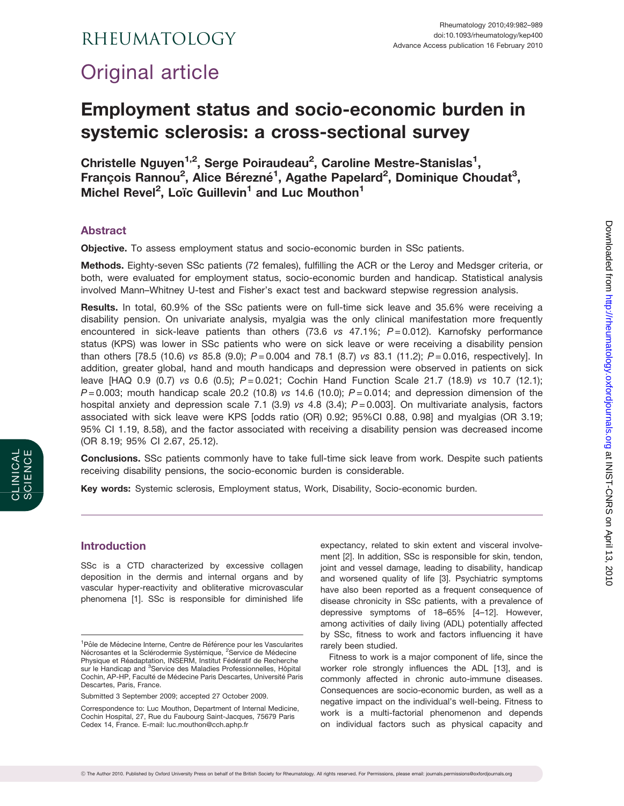# Original article

## Employment status and socio-economic burden in systemic sclerosis: a cross-sectional survey

Christelle Nguyen<sup>1,2</sup>, Serge Poiraudeau<sup>2</sup>, Caroline Mestre-Stanislas<sup>1</sup>, François Rannou<sup>2</sup>, Alice Bérezné<sup>1</sup>, Agathe Papelard<sup>2</sup>, Dominique Choudat<sup>3</sup>, Michel Revel<sup>2</sup>, Loïc Guillevin<sup>1</sup> and Luc Mouthon<sup>1</sup>

### Abstract

Objective. To assess employment status and socio-economic burden in SSc patients.

Methods. Eighty-seven SSc patients (72 females), fulfilling the ACR or the Leroy and Medsger criteria, or both, were evaluated for employment status, socio-economic burden and handicap. Statistical analysis involved Mann–Whitney U-test and Fisher's exact test and backward stepwise regression analysis.

Results. In total, 60.9% of the SSc patients were on full-time sick leave and 35.6% were receiving a disability pension. On univariate analysis, myalgia was the only clinical manifestation more frequently encountered in sick-leave patients than others (73.6 vs  $47.1\%$ ;  $P = 0.012$ ). Karnofsky performance status (KPS) was lower in SSc patients who were on sick leave or were receiving a disability pension than others [78.5 (10.6) vs 85.8 (9.0);  $P = 0.004$  and 78.1 (8.7) vs 83.1 (11.2);  $P = 0.016$ , respectively]. In addition, greater global, hand and mouth handicaps and depression were observed in patients on sick leave [HAQ 0.9 (0.7) vs 0.6 (0.5);  $P = 0.021$ ; Cochin Hand Function Scale 21.7 (18.9) vs 10.7 (12.1);  $P = 0.003$ ; mouth handicap scale 20.2 (10.8) vs 14.6 (10.0);  $P = 0.014$ ; and depression dimension of the hospital anxiety and depression scale 7.1 (3.9) vs 4.8 (3.4);  $P = 0.003$ ]. On multivariate analysis, factors associated with sick leave were KPS [odds ratio (OR) 0.92; 95%CI 0.88, 0.98] and myalgias (OR 3.19; 95% CI 1.19, 8.58), and the factor associated with receiving a disability pension was decreased income (OR 8.19; 95% CI 2.67, 25.12).

Conclusions. SSc patients commonly have to take full-time sick leave from work. Despite such patients receiving disability pensions, the socio-economic burden is considerable.

Key words: Systemic sclerosis, Employment status, Work, Disability, Socio-economic burden.

#### Introduction

SSc is a CTD characterized by excessive collagen deposition in the dermis and internal organs and by vascular hyper-reactivity and obliterative microvascular phenomena [1]. SSc is responsible for diminished life

Submitted 3 September 2009; accepted 27 October 2009.

expectancy, related to skin extent and visceral involvement [2]. In addition, SSc is responsible for skin, tendon, joint and vessel damage, leading to disability, handicap and worsened quality of life [3]. Psychiatric symptoms have also been reported as a frequent consequence of disease chronicity in SSc patients, with a prevalence of depressive symptoms of 18–65% [4–12]. However, among activities of daily living (ADL) potentially affected by SSc, fitness to work and factors influencing it have rarely been studied.

Fitness to work is a major component of life, since the worker role strongly influences the ADL [13], and is commonly affected in chronic auto-immune diseases. Consequences are socio-economic burden, as well as a negative impact on the individual's well-being. Fitness to work is a multi-factorial phenomenon and depends on individual factors such as physical capacity and

<sup>&</sup>lt;sup>1</sup>Pôle de Médecine Interne, Centre de Référence pour les Vascularites Nécrosantes et la Sclérodermie Systémique, <sup>2</sup>Service de Médecine Physique et Réadaptation, INSERM, Institut Fédératif de Recherche sur le Handicap and <sup>3</sup>Service des Maladies Professionnelles, Hôpital Cochin, AP-HP, Faculté de Médecine Paris Descartes, Université Paris Descartes, Paris, France.

Correspondence to: Luc Mouthon, Department of Internal Medicine, Cochin Hospital, 27, Rue du Faubourg Saint-Jacques, 75679 Paris Cedex 14, France. E-mail: luc.mouthon@cch.aphp.fr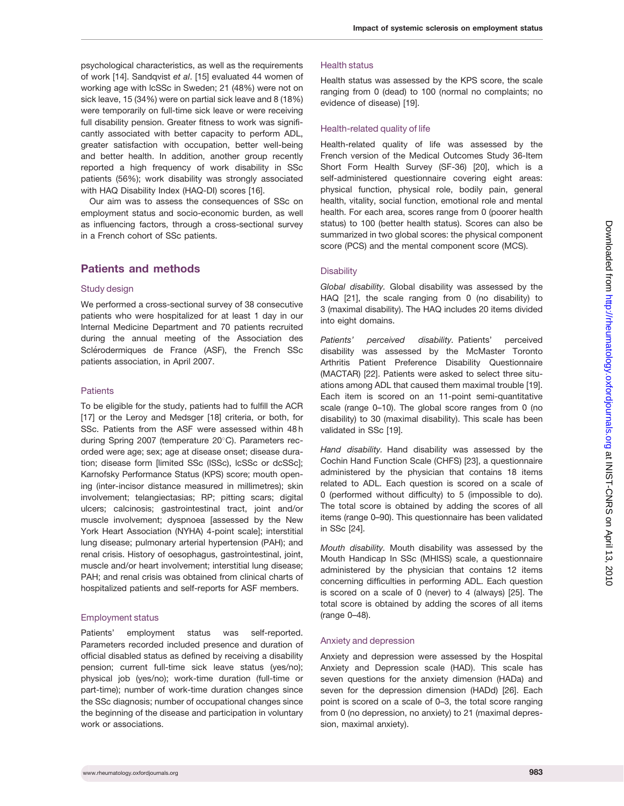psychological characteristics, as well as the requirements of work [14]. Sandqvist et al. [15] evaluated 44 women of working age with lcSSc in Sweden; 21 (48%) were not on sick leave, 15 (34%) were on partial sick leave and 8 (18%) were temporarily on full-time sick leave or were receiving full disability pension. Greater fitness to work was significantly associated with better capacity to perform ADL, greater satisfaction with occupation, better well-being and better health. In addition, another group recently reported a high frequency of work disability in SSc patients (56%); work disability was strongly associated with HAQ Disability Index (HAQ-DI) scores [16].

Our aim was to assess the consequences of SSc on employment status and socio-economic burden, as well as influencing factors, through a cross-sectional survey in a French cohort of SSc patients.

#### Patients and methods

#### Study design

We performed a cross-sectional survey of 38 consecutive patients who were hospitalized for at least 1 day in our Internal Medicine Department and 70 patients recruited during the annual meeting of the Association des Sclérodermiques de France (ASF), the French SSc patients association, in April 2007.

#### **Patients**

To be eligible for the study, patients had to fulfill the ACR [17] or the Leroy and Medsger [18] criteria, or both, for SSc. Patients from the ASF were assessed within 48 h during Spring 2007 (temperature 20°C). Parameters recorded were age; sex; age at disease onset; disease duration; disease form [limited SSc (lSSc), lcSSc or dcSSc]; Karnofsky Performance Status (KPS) score; mouth opening (inter-incisor distance measured in millimetres); skin involvement; telangiectasias; RP; pitting scars; digital ulcers; calcinosis; gastrointestinal tract, joint and/or muscle involvement; dyspnoea [assessed by the New York Heart Association (NYHA) 4-point scale]; interstitial lung disease; pulmonary arterial hypertension (PAH); and renal crisis. History of oesophagus, gastrointestinal, joint, muscle and/or heart involvement; interstitial lung disease; PAH; and renal crisis was obtained from clinical charts of hospitalized patients and self-reports for ASF members.

#### Employment status

Patients' employment status was self-reported. Parameters recorded included presence and duration of official disabled status as defined by receiving a disability pension; current full-time sick leave status (yes/no); physical job (yes/no); work-time duration (full-time or part-time); number of work-time duration changes since the SSc diagnosis; number of occupational changes since the beginning of the disease and participation in voluntary work or associations.

#### Health status

Health status was assessed by the KPS score, the scale ranging from 0 (dead) to 100 (normal no complaints; no evidence of disease) [19].

#### Health-related quality of life

Health-related quality of life was assessed by the French version of the Medical Outcomes Study 36-Item Short Form Health Survey (SF-36) [20], which is a self-administered questionnaire covering eight areas: physical function, physical role, bodily pain, general health, vitality, social function, emotional role and mental health. For each area, scores range from 0 (poorer health status) to 100 (better health status). Scores can also be summarized in two global scores: the physical component score (PCS) and the mental component score (MCS).

#### **Disability**

Global disability. Global disability was assessed by the HAQ [21], the scale ranging from 0 (no disability) to 3 (maximal disability). The HAQ includes 20 items divided into eight domains.

Patients' perceived disability. Patients' perceived disability was assessed by the McMaster Toronto Arthritis Patient Preference Disability Questionnaire (MACTAR) [22]. Patients were asked to select three situations among ADL that caused them maximal trouble [19]. Each item is scored on an 11-point semi-quantitative scale (range 0–10). The global score ranges from 0 (no disability) to 30 (maximal disability). This scale has been validated in SSc [19].

Hand disability. Hand disability was assessed by the Cochin Hand Function Scale (CHFS) [23], a questionnaire administered by the physician that contains 18 items related to ADL. Each question is scored on a scale of 0 (performed without difficulty) to 5 (impossible to do). The total score is obtained by adding the scores of all items (range 0–90). This questionnaire has been validated in SSc [24].

Mouth disability. Mouth disability was assessed by the Mouth Handicap In SSc (MHISS) scale, a questionnaire administered by the physician that contains 12 items concerning difficulties in performing ADL. Each question is scored on a scale of 0 (never) to 4 (always) [25]. The total score is obtained by adding the scores of all items (range 0–48).

#### Anxiety and depression

Anxiety and depression were assessed by the Hospital Anxiety and Depression scale (HAD). This scale has seven questions for the anxiety dimension (HADa) and seven for the depression dimension (HADd) [26]. Each point is scored on a scale of 0–3, the total score ranging from 0 (no depression, no anxiety) to 21 (maximal depression, maximal anxiety).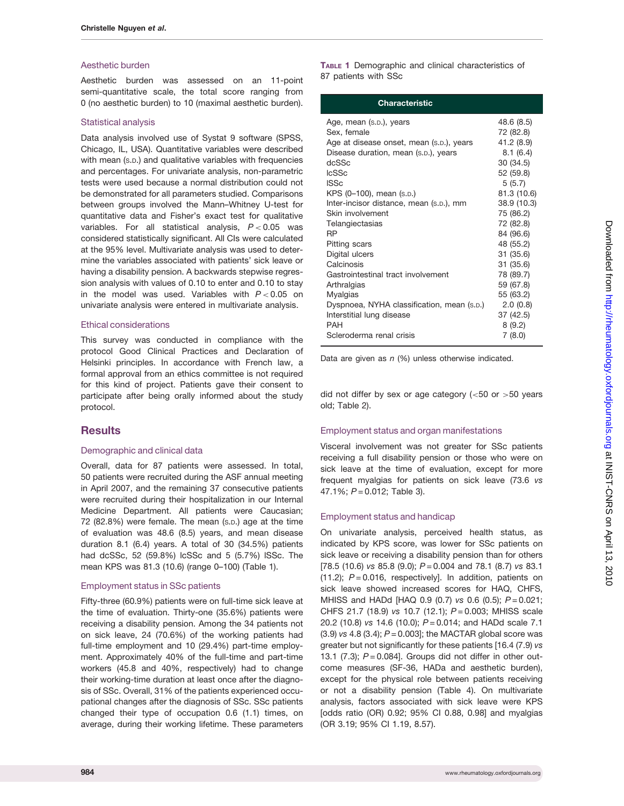#### Aesthetic burden

Aesthetic burden was assessed on an 11-point semi-quantitative scale, the total score ranging from 0 (no aesthetic burden) to 10 (maximal aesthetic burden).

#### Statistical analysis

Data analysis involved use of Systat 9 software (SPSS, Chicago, IL, USA). Quantitative variables were described with mean (s.p.) and qualitative variables with frequencies and percentages. For univariate analysis, non-parametric tests were used because a normal distribution could not be demonstrated for all parameters studied. Comparisons between groups involved the Mann–Whitney U-test for quantitative data and Fisher's exact test for qualitative variables. For all statistical analysis,  $P < 0.05$  was considered statistically significant. All CIs were calculated at the 95% level. Multivariate analysis was used to determine the variables associated with patients' sick leave or having a disability pension. A backwards stepwise regression analysis with values of 0.10 to enter and 0.10 to stay in the model was used. Variables with  $P < 0.05$  on univariate analysis were entered in multivariate analysis.

#### Ethical considerations

This survey was conducted in compliance with the protocol Good Clinical Practices and Declaration of Helsinki principles. In accordance with French law, a formal approval from an ethics committee is not required for this kind of project. Patients gave their consent to participate after being orally informed about the study protocol.

#### **Results**

#### Demographic and clinical data

Overall, data for 87 patients were assessed. In total, 50 patients were recruited during the ASF annual meeting in April 2007, and the remaining 37 consecutive patients were recruited during their hospitalization in our Internal Medicine Department. All patients were Caucasian; 72 (82.8%) were female. The mean (S.D.) age at the time of evaluation was 48.6 (8.5) years, and mean disease duration 8.1 (6.4) years. A total of 30 (34.5%) patients had dcSSc, 52 (59.8%) lcSSc and 5 (5.7%) lSSc. The mean KPS was 81.3 (10.6) (range 0–100) (Table 1).

#### Employment status in SSc patients

Fifty-three (60.9%) patients were on full-time sick leave at the time of evaluation. Thirty-one (35.6%) patients were receiving a disability pension. Among the 34 patients not on sick leave, 24 (70.6%) of the working patients had full-time employment and 10 (29.4%) part-time employment. Approximately 40% of the full-time and part-time workers (45.8 and 40%, respectively) had to change their working-time duration at least once after the diagnosis of SSc. Overall, 31% of the patients experienced occupational changes after the diagnosis of SSc. SSc patients changed their type of occupation 0.6 (1.1) times, on average, during their working lifetime. These parameters

TABLE 1 Demographic and clinical characteristics of 87 patients with SSc

| Characteristic                             |             |
|--------------------------------------------|-------------|
| Age, mean (s.p.), years                    | 48.6 (8.5)  |
| Sex, female                                | 72 (82.8)   |
| Age at disease onset, mean (s.p.), years   | 41.2 (8.9)  |
| Disease duration, mean (s.p.), years       | 8.1(6.4)    |
| dcSSc                                      | 30 (34.5)   |
| <b>IcSSc</b>                               | 52 (59.8)   |
| <b>ISSc</b>                                | 5(5.7)      |
| KPS (0-100), mean (s.p.)                   | 81.3 (10.6) |
| Inter-incisor distance, mean (s.p.), mm    | 38.9 (10.3) |
| Skin involvement                           | 75 (86.2)   |
| Telangiectasias                            | 72 (82.8)   |
| RP                                         | 84 (96.6)   |
| Pitting scars                              | 48 (55.2)   |
| Digital ulcers                             | 31 (35.6)   |
| Calcinosis                                 | 31 (35.6)   |
| Gastrointestinal tract involvement         | 78 (89.7)   |
| Arthralgias                                | 59 (67.8)   |
| Myalgias                                   | 55 (63.2)   |
| Dyspnoea, NYHA classification, mean (s.p.) | 2.0(0.8)    |
| Interstitial lung disease                  | 37 (42.5)   |
| PAH                                        | 8(9.2)      |
| Scleroderma renal crisis                   | 7(8.0)      |

Data are given as  $n$  (%) unless otherwise indicated.

did not differ by sex or age category  $(<50$  or  $>50$  years old; Table 2).

#### Employment status and organ manifestations

Visceral involvement was not greater for SSc patients receiving a full disability pension or those who were on sick leave at the time of evaluation, except for more frequent myalgias for patients on sick leave (73.6 vs  $47.1\%$ ;  $P = 0.012$ ; Table 3).

#### Employment status and handicap

On univariate analysis, perceived health status, as indicated by KPS score, was lower for SSc patients on sick leave or receiving a disability pension than for others  $[78.5 (10.6)$  vs 85.8 (9.0);  $P = 0.004$  and 78.1 (8.7) vs 83.1 (11.2);  $P = 0.016$ , respectively]. In addition, patients on sick leave showed increased scores for HAQ, CHFS, MHISS and HADd [HAQ 0.9 (0.7) vs 0.6 (0.5);  $P = 0.021$ ; CHFS 21.7 (18.9) vs 10.7 (12.1); P = 0.003; MHISS scale 20.2 (10.8) vs 14.6 (10.0);  $P = 0.014$ ; and HADd scale 7.1  $(3.9)$  vs 4.8  $(3.4)$ ;  $P = 0.003$ ]; the MACTAR global score was greater but not significantly for these patients [16.4 (7.9) vs 13.1 (7.3);  $P = 0.084$ ]. Groups did not differ in other outcome measures (SF-36, HADa and aesthetic burden), except for the physical role between patients receiving or not a disability pension (Table 4). On multivariate analysis, factors associated with sick leave were KPS [odds ratio (OR) 0.92; 95% CI 0.88, 0.98] and myalgias (OR 3.19; 95% CI 1.19, 8.57).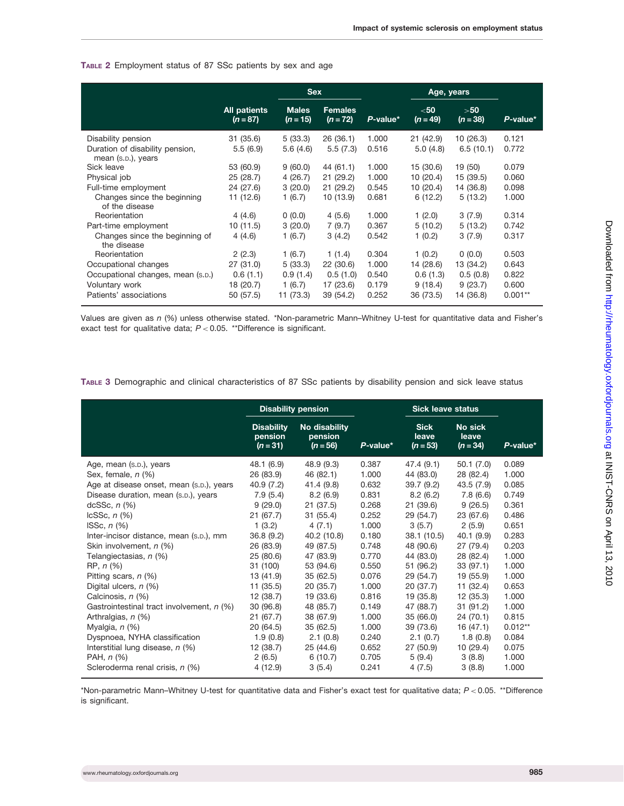#### TABLE 2 Employment status of 87 SSc patients by sex and age

|                                                                             |                                   | <b>Sex</b>                 |                              |                | Age, years           |                       |                |
|-----------------------------------------------------------------------------|-----------------------------------|----------------------------|------------------------------|----------------|----------------------|-----------------------|----------------|
|                                                                             | <b>All patients</b><br>$(n = 87)$ | <b>Males</b><br>$(n = 15)$ | <b>Females</b><br>$(n = 72)$ | P-value*       | $50$<br>$(n = 49)$   | >50<br>$(n=38)$       | P-value*       |
| Disability pension<br>Duration of disability pension,<br>mean (s.p.), years | 31 (35.6)<br>5.5(6.9)             | 5(33.3)<br>5.6(4.6)        | 26(36.1)<br>5.5(7.3)         | 1.000<br>0.516 | 21(42.9)<br>5.0(4.8) | 10(26.3)<br>6.5(10.1) | 0.121<br>0.772 |
| Sick leave                                                                  | 53 (60.9)                         | 9(60.0)                    | 44 (61.1)                    | 1.000          | 15 (30.6)            | 19 (50)               | 0.079          |
| Physical job                                                                | 25 (28.7)                         | 4(26.7)                    | 21(29.2)                     | 1.000          | 10(20.4)             | 15 (39.5)             | 0.060          |
| Full-time employment                                                        | 24 (27.6)                         | 3(20.0)                    | 21(29.2)                     | 0.545          | 10(20.4)             | 14 (36.8)             | 0.098          |
| Changes since the beginning<br>of the disease                               | 11 (12.6)                         | 1(6.7)                     | 10 (13.9)                    | 0.681          | 6(12.2)              | 5(13.2)               | 1.000          |
| Reorientation                                                               | 4(4.6)                            | 0(0.0)                     | 4(5.6)                       | 1.000          | 1(2.0)               | 3(7.9)                | 0.314          |
| Part-time employment                                                        | 10(11.5)                          | 3(20.0)                    | 7(9.7)                       | 0.367          | 5(10.2)              | 5(13.2)               | 0.742          |
| Changes since the beginning of<br>the disease                               | 4(4.6)                            | 1(6.7)                     | 3(4.2)                       | 0.542          | 1(0.2)               | 3(7.9)                | 0.317          |
| Reorientation                                                               | 2(2.3)                            | 1(6.7)                     | 1(1.4)                       | 0.304          | 1(0.2)               | 0(0.0)                | 0.503          |
| Occupational changes                                                        | 27(31.0)                          | 5(33.3)                    | 22(30.6)                     | 1.000          | 14 (28.6)            | 13 (34.2)             | 0.643          |
| Occupational changes, mean (s.p.)                                           | 0.6(1.1)                          | 0.9(1.4)                   | 0.5(1.0)                     | 0.540          | 0.6(1.3)             | 0.5(0.8)              | 0.822          |
| Voluntary work                                                              | 18 (20.7)                         | 1(6.7)                     | 17 (23.6)                    | 0.179          | 9(18.4)              | 9(23.7)               | 0.600          |
| Patients' associations                                                      | 50 (57.5)                         | 11 (73.3)                  | 39 (54.2)                    | 0.252          | 36 (73.5)            | 14 (36.8)             | $0.001**$      |

Values are given as n (%) unless otherwise stated. \*Non-parametric Mann–Whitney U-test for quantitative data and Fisher's exact test for qualitative data;  $P < 0.05$ . \*\*Difference is significant.

| TABLE 3 Demographic and clinical characteristics of 87 SSc patients by disability pension and sick leave status |  |
|-----------------------------------------------------------------------------------------------------------------|--|
|-----------------------------------------------------------------------------------------------------------------|--|

|                                           |                                            | <b>Disability pension</b>              |          | <b>Sick leave status</b>           |                                |           |
|-------------------------------------------|--------------------------------------------|----------------------------------------|----------|------------------------------------|--------------------------------|-----------|
|                                           | <b>Disability</b><br>pension<br>$(n = 31)$ | No disability<br>pension<br>$(n = 56)$ | P-value* | <b>Sick</b><br>leave<br>$(n = 53)$ | No sick<br>leave<br>$(n = 34)$ | P-value*  |
| Age, mean (s.p.), years                   | 48.1 (6.9)                                 | 48.9 (9.3)                             | 0.387    | 47.4 (9.1)                         | 50.1(7.0)                      | 0.089     |
| Sex, female, $n$ (%)                      | 26 (83.9)                                  | 46 (82.1)                              | 1.000    | 44 (83.0)                          | 28 (82.4)                      | 1.000     |
| Age at disease onset, mean (s.p.), years  | 40.9(7.2)                                  | 41.4 (9.8)                             | 0.632    | 39.7(9.2)                          | 43.5 (7.9)                     | 0.085     |
| Disease duration, mean (s.p.), years      | 7.9(5.4)                                   | 8.2(6.9)                               | 0.831    | 8.2(6.2)                           | 7.8(6.6)                       | 0.749     |
| $dcSSc, n(\%)$                            | 9(29.0)                                    | 21(37.5)                               | 0.268    | 21 (39.6)                          | 9(26.5)                        | 0.361     |
| $lcSSc, n(\%)$                            | 21(67.7)                                   | 31(55.4)                               | 0.252    | 29 (54.7)                          | 23 (67.6)                      | 0.486     |
| ISSc, $n$ $(\%)$                          | 1(3.2)                                     | 4(7.1)                                 | 1.000    | 3(5.7)                             | 2(5.9)                         | 0.651     |
| Inter-incisor distance, mean (s.p.), mm   | 36.8(9.2)                                  | 40.2 (10.8)                            | 0.180    | 38.1(10.5)                         | 40.1(9.9)                      | 0.283     |
| Skin involvement, n (%)                   | 26 (83.9)                                  | 49 (87.5)                              | 0.748    | 48 (90.6)                          | 27 (79.4)                      | 0.203     |
| Telangiectasias, n (%)                    | 25(80.6)                                   | 47 (83.9)                              | 0.770    | 44 (83.0)                          | 28 (82.4)                      | 1.000     |
| RP, n (%)                                 | 31 (100)                                   | 53 (94.6)                              | 0.550    | 51 (96.2)                          | 33(97.1)                       | 1.000     |
| Pitting scars, $n$ (%)                    | 13(41.9)                                   | 35(62.5)                               | 0.076    | 29 (54.7)                          | 19 (55.9)                      | 1.000     |
| Digital ulcers, $n$ (%)                   | 11(35.5)                                   | 20(35.7)                               | 1.000    | 20 (37.7)                          | 11(32.4)                       | 0.653     |
| Calcinosis, n (%)                         | 12(38.7)                                   | 19 (33.6)                              | 0.816    | 19 (35.8)                          | 12(35.3)                       | 1.000     |
| Gastrointestinal tract involvement, n (%) | 30 (96.8)                                  | 48 (85.7)                              | 0.149    | 47 (88.7)                          | 31(91.2)                       | 1.000     |
| Arthralgias, n (%)                        | 21(67.7)                                   | 38 (67.9)                              | 1.000    | 35 (66.0)                          | 24 (70.1)                      | 0.815     |
| Myalgia, $n$ (%)                          | 20(64.5)                                   | 35(62.5)                               | 1.000    | 39 (73.6)                          | 16 (47.1)                      | $0.012**$ |
| Dyspnoea, NYHA classification             | 1.9(0.8)                                   | 2.1(0.8)                               | 0.240    | 2.1(0.7)                           | 1.8(0.8)                       | 0.084     |
| Interstitial lung disease, n (%)          | 12 (38.7)                                  | 25 (44.6)                              | 0.652    | 27 (50.9)                          | 10(29.4)                       | 0.075     |
| PAH, $n$ $(\%)$                           | 2(6.5)                                     | 6(10.7)                                | 0.705    | 5(9.4)                             | 3(8.8)                         | 1.000     |
| Scleroderma renal crisis, n (%)           | 4(12.9)                                    | 3(5.4)                                 | 0.241    | 4(7.5)                             | 3(8.8)                         | 1.000     |

\*Non-parametric Mann–Whitney U-test for quantitative data and Fisher's exact test for qualitative data;  $P < 0.05$ . \*\*Difference is significant.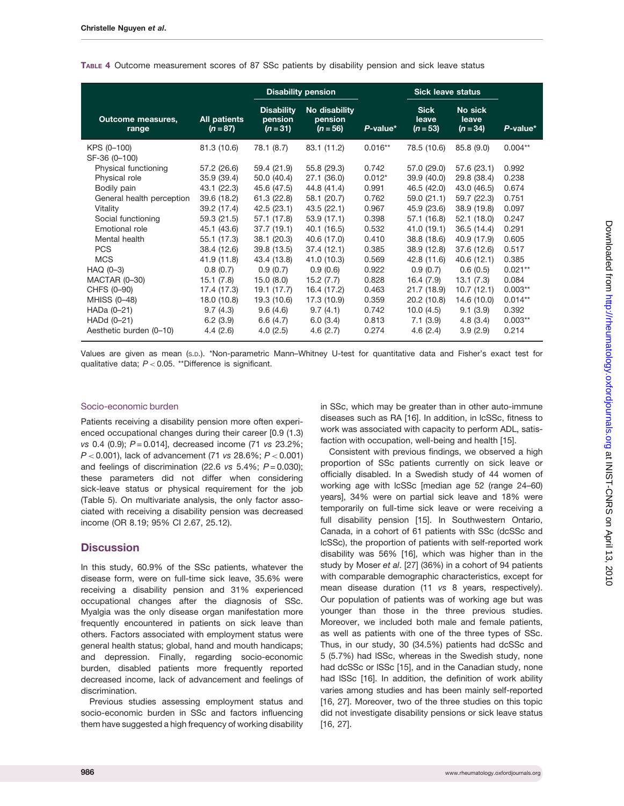|                                   |                            |                                            | <b>Disability pension</b>              |             | <b>Sick leave status</b>           |                                |           |
|-----------------------------------|----------------------------|--------------------------------------------|----------------------------------------|-------------|------------------------------------|--------------------------------|-----------|
| <b>Outcome measures,</b><br>range | All patients<br>$(n = 87)$ | <b>Disability</b><br>pension<br>$(n = 31)$ | No disability<br>pension<br>$(n = 56)$ | $P$ -value* | <b>Sick</b><br>leave<br>$(n = 53)$ | No sick<br>leave<br>$(n = 34)$ | P-value*  |
| KPS (0-100)                       | 81.3 (10.6)                | 78.1 (8.7)                                 | 83.1 (11.2)                            | $0.016**$   | 78.5 (10.6)                        | 85.8(9.0)                      | $0.004**$ |
| SF-36 (0-100)                     |                            |                                            |                                        |             |                                    |                                |           |
| Physical functioning              | 57.2 (26.6)                | 59.4 (21.9)                                | 55.8 (29.3)                            | 0.742       | 57.0 (29.0)                        | 57.6(23.1)                     | 0.992     |
| Physical role                     | 35.9(39.4)                 | 50.0 (40.4)                                | 27.1 (36.0)                            | $0.012*$    | 39.9 (40.0)                        | 29.8 (38.4)                    | 0.238     |
| Bodily pain                       | 43.1 (22.3)                | 45.6 (47.5)                                | 44.8 (41.4)                            | 0.991       | 46.5 (42.0)                        | 43.0 (46.5)                    | 0.674     |
| General health perception         | 39.6 (18.2)                | 61.3(22.8)                                 | 58.1 (20.7)                            | 0.762       | 59.0(21.1)                         | 59.7 (22.3)                    | 0.751     |
| Vitality                          | 39.2 (17.4)                | 42.5(23.1)                                 | 43.5(22.1)                             | 0.967       | 45.9 (23.6)                        | 38.9 (19.8)                    | 0.097     |
| Social functioning                | 59.3 (21.5)                | 57.1 (17.8)                                | 53.9(17.1)                             | 0.398       | 57.1 (16.8)                        | 52.1(18.0)                     | 0.247     |
| Emotional role                    | 45.1 (43.6)                | 37.7(19.1)                                 | 40.1 (16.5)                            | 0.532       | 41.0 (19.1)                        | 36.5(14.4)                     | 0.291     |
| Mental health                     | 55.1 (17.3)                | 38.1 (20.3)                                | 40.6 (17.0)                            | 0.410       | 38.8 (18.6)                        | 40.9 (17.9)                    | 0.605     |
| <b>PCS</b>                        | 38.4 (12.6)                | 39.8 (13.5)                                | 37.4(12.1)                             | 0.385       | 38.9 (12.8)                        | 37.6 (12.6)                    | 0.517     |
| <b>MCS</b>                        | 41.9 (11.8)                | 43.4 (13.8)                                | 41.0 (10.3)                            | 0.569       | 42.8 (11.6)                        | 40.6(12.1)                     | 0.385     |
| $HAQ(0-3)$                        | 0.8(0.7)                   | 0.9(0.7)                                   | 0.9(0.6)                               | 0.922       | 0.9(0.7)                           | 0.6(0.5)                       | $0.021**$ |
| <b>MACTAR (0-30)</b>              | 15.1(7.8)                  | 15.0(8.0)                                  | 15.2(7.7)                              | 0.828       | 16.4 (7.9)                         | 13.1(7.3)                      | 0.084     |
| CHFS (0-90)                       | 17.4 (17.3)                | 19.1 (17.7)                                | 16.4 (17.2)                            | 0.463       | 21.7(18.9)                         | 10.7(12.1)                     | $0.003**$ |
| MHISS (0-48)                      | 18.0 (10.8)                | 19.3 (10.6)                                | 17.3 (10.9)                            | 0.359       | 20.2(10.8)                         | 14.6 (10.0)                    | $0.014**$ |
| HADa (0-21)                       | 9.7(4.3)                   | 9.6(4.6)                                   | 9.7(4.1)                               | 0.742       | 10.0(4.5)                          | 9.1(3.9)                       | 0.392     |
| HADd (0-21)                       | 6.2(3.9)                   | 6.6(4.7)                                   | 6.0(3.4)                               | 0.813       | 7.1(3.9)                           | 4.8(3.4)                       | $0.003**$ |
| Aesthetic burden (0-10)           | 4.4(2.6)                   | 4.0(2.5)                                   | 4.6(2.7)                               | 0.274       | 4.6(2.4)                           | 3.9(2.9)                       | 0.214     |

#### TABLE 4 Outcome measurement scores of 87 SSc patients by disability pension and sick leave status

Values are given as mean (S.D.). \*Non-parametric Mann–Whitney U-test for quantitative data and Fisher's exact test for qualitative data;  $P < 0.05$ . \*\*Difference is significant.

#### Socio-economic burden

Patients receiving a disability pension more often experienced occupational changes during their career [0.9 (1.3) vs 0.4 (0.9);  $P = 0.014$ ], decreased income (71 vs 23.2%;  $P < 0.001$ ), lack of advancement (71 vs 28.6%;  $P < 0.001$ ) and feelings of discrimination (22.6 vs  $5.4\%$ ;  $P = 0.030$ ); these parameters did not differ when considering sick-leave status or physical requirement for the job (Table 5). On multivariate analysis, the only factor associated with receiving a disability pension was decreased income (OR 8.19; 95% CI 2.67, 25.12).

#### **Discussion**

In this study, 60.9% of the SSc patients, whatever the disease form, were on full-time sick leave, 35.6% were receiving a disability pension and 31% experienced occupational changes after the diagnosis of SSc. Myalgia was the only disease organ manifestation more frequently encountered in patients on sick leave than others. Factors associated with employment status were general health status; global, hand and mouth handicaps; and depression. Finally, regarding socio-economic burden, disabled patients more frequently reported decreased income, lack of advancement and feelings of discrimination.

Previous studies assessing employment status and socio-economic burden in SSc and factors influencing them have suggested a high frequency of working disability in SSc, which may be greater than in other auto-immune diseases such as RA [16]. In addition, in lcSSc, fitness to work was associated with capacity to perform ADL, satisfaction with occupation, well-being and health [15].

Consistent with previous findings, we observed a high proportion of SSc patients currently on sick leave or officially disabled. In a Swedish study of 44 women of working age with lcSSc [median age 52 (range 24–60) years], 34% were on partial sick leave and 18% were temporarily on full-time sick leave or were receiving a full disability pension [15]. In Southwestern Ontario, Canada, in a cohort of 61 patients with SSc (dcSSc and lcSSc), the proportion of patients with self-reported work disability was 56% [16], which was higher than in the study by Moser et al. [27] (36%) in a cohort of 94 patients with comparable demographic characteristics, except for mean disease duration (11 vs 8 years, respectively). Our population of patients was of working age but was younger than those in the three previous studies. Moreover, we included both male and female patients, as well as patients with one of the three types of SSc. Thus, in our study, 30 (34.5%) patients had dcSSc and 5 (5.7%) had lSSc, whereas in the Swedish study, none had dcSSc or lSSc [15], and in the Canadian study, none had lSSc [16]. In addition, the definition of work ability varies among studies and has been mainly self-reported [16, 27]. Moreover, two of the three studies on this topic did not investigate disability pensions or sick leave status [16, 27].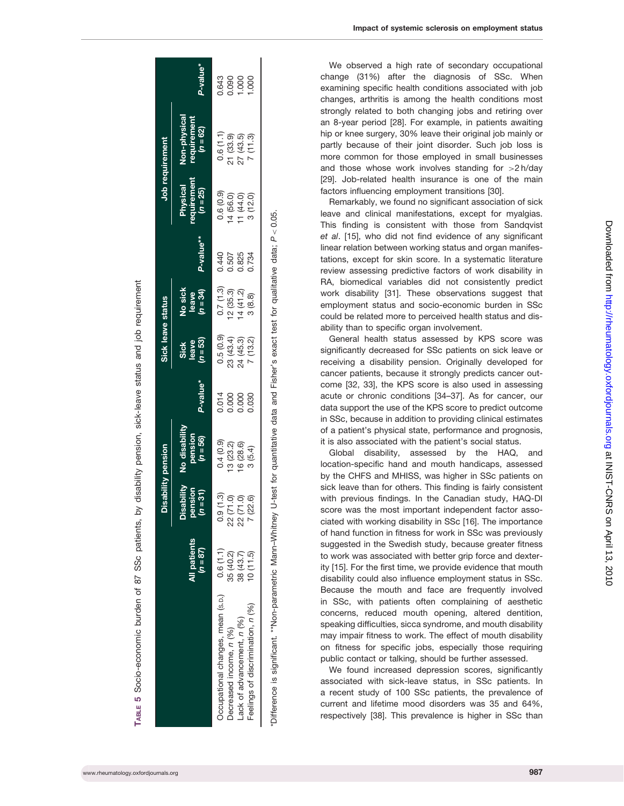|                                                                                                                                                |                            | Disability pension                |                                        |                | Sick leave status           |                                |              | Job requirement                      |                                           |                                                                                                                                      |
|------------------------------------------------------------------------------------------------------------------------------------------------|----------------------------|-----------------------------------|----------------------------------------|----------------|-----------------------------|--------------------------------|--------------|--------------------------------------|-------------------------------------------|--------------------------------------------------------------------------------------------------------------------------------------|
|                                                                                                                                                | All patients<br>$(n = 87)$ | Disability<br>noisnac<br>$(n=31)$ | No disability<br>pension<br>$(n = 56)$ | P-value*       | $(n = 53)$<br>Sick<br>leave | $(n = 34)$<br>No sick<br>leave | P-value**    | equirement<br>Physical<br>$(n = 25)$ | Non-physical<br>requirement<br>$(n = 62)$ | P-value*                                                                                                                             |
| Occupational changes, mean (s.p.)                                                                                                              | 0.6(1.1)                   | .9(1.3)                           | 0.4(0.9)                               |                | 0.5(0.9)                    | 0.7(1.3)                       | 0.440        | 0.6(0.9)                             | 0.6(1.1)                                  |                                                                                                                                      |
| Decreased income, n (%)                                                                                                                        | 35 (40.2)                  | 22 (71.0)                         | 13(23.2)                               | 0.014<br>0.000 |                             |                                | <b>J.507</b> |                                      |                                           | $\frac{3}{6}$<br>$\frac{3}{6}$<br>$\frac{3}{6}$<br>$\frac{3}{6}$<br>$\frac{3}{6}$<br>$\frac{3}{6}$<br>$\frac{3}{6}$<br>$\frac{3}{6}$ |
| ack of advancement, n (%)                                                                                                                      | 38 (43.7)                  | (71.0)<br>2<br>2                  | 16(28.6)                               | 0.000          | 23 (43.4)<br>24 (45.3)      | 12 (35.3)<br>14 (41.2)         | 0.825        | 14 (56.0)<br>11 (44.0)               | 21 (33.9)<br>27 (43.5)<br>7 (11.3)        |                                                                                                                                      |
| Feelings of discrimination, n (%)                                                                                                              | 10(11.5)                   | (22.6)                            | 3(5.4)                                 | 0.030          | 7(13.2)                     | 3(8.8)                         | 0.734        | 3(12.0)                              |                                           |                                                                                                                                      |
| "Difference is significant. ""Non-parametric Mann-Whitney U-test for quantitative data and Fisher's exact test for qualitative data; P < 0.05. |                            |                                   |                                        |                |                             |                                |              |                                      |                                           |                                                                                                                                      |

SSc patients, by disability pension, sick-leave status and job requirement TABLE 5 Socio-economic burden of 87 SSc patients, by disability pension, sick-leave status and job requirement 87 Socio-economic burden of ဖ TABLE

We observed a high rate of secondary occupational change (31%) after the diagnosis of SSc. When examining specific health conditions associated with job changes, arthritis is among the health conditions most strongly related to both changing jobs and retiring over an 8-year period [28]. For example, in patients awaiting hip or knee surgery, 30% leave their original job mainly or partly because of their joint disorder. Such job loss is more common for those employed in small businesses and those whose work involves standing for >2 h/day [29]. Job-related health insurance is one of the main factors influencing employment transitions [30].

Remarkably, we found no significant association of sick leave and clinical manifestations, except for myalgias. This finding is consistent with those from Sandqvist et al. [15], who did not find evidence of any significant linear relation between working status and organ manifestations, except for skin score. In a systematic literature review assessing predictive factors of work disability in RA, biomedical variables did not consistently predict work disability [31]. These observations suggest that employment status and socio-economic burden in SSc could be related more to perceived health status and disability than to specific organ involvement.

General health status assessed by KPS score was significantly decreased for SSc patients on sick leave or receiving a disability pension. Originally developed for cancer patients, because it strongly predicts cancer outcome [32, 33], the KPS score is also used in assessing acute or chronic conditions [34–37]. As for cancer, our data support the use of the KPS score to predict outcome in SSc, because in addition to providing clinical estimates of a patient's physical state, performance and prognosis, it is also associated with the patient's social status.

Global disability, assessed by the HAQ, and location-specific hand and mouth handicaps, assessed by the CHFS and MHISS, was higher in SSc patients on sick leave than for others. This finding is fairly consistent with previous findings. In the Canadian study, HAQ-DI score was the most important independent factor associated with working disability in SSc [16]. The importance of hand function in fitness for work in SSc was previously suggested in the Swedish study, because greater fitness to work was associated with better grip force and dexterity [15]. For the first time, we provide evidence that mouth disability could also influence employment status in SSc. Because the mouth and face are frequently involved in SSc, with patients often complaining of aesthetic concerns, reduced mouth opening, altered dentition, speaking difficulties, sicca syndrome, and mouth disability may impair fitness to work. The effect of mouth disability on fitness for specific jobs, especially those requiring public contact or talking, should be further assessed.

We found increased depression scores, significantly associated with sick-leave status, in SSc patients. In a recent study of 100 SSc patients, the prevalence of current and lifetime mood disorders was 35 and 64%, respectively [38]. This prevalence is higher in SSc than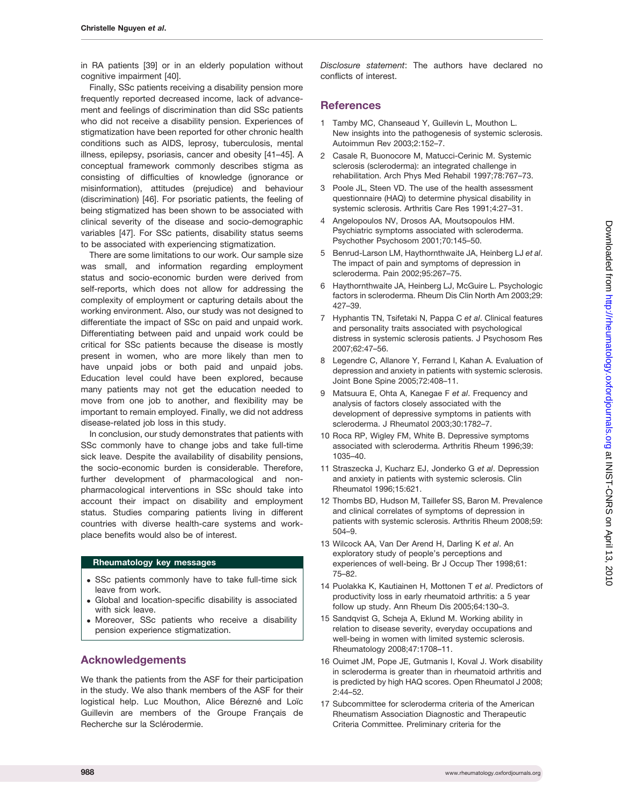in RA patients [39] or in an elderly population without cognitive impairment [40].

Finally, SSc patients receiving a disability pension more frequently reported decreased income, lack of advancement and feelings of discrimination than did SSc patients who did not receive a disability pension. Experiences of stigmatization have been reported for other chronic health conditions such as AIDS, leprosy, tuberculosis, mental illness, epilepsy, psoriasis, cancer and obesity [41–45]. A conceptual framework commonly describes stigma as consisting of difficulties of knowledge (ignorance or misinformation), attitudes (prejudice) and behaviour (discrimination) [46]. For psoriatic patients, the feeling of being stigmatized has been shown to be associated with clinical severity of the disease and socio-demographic variables [47]. For SSc patients, disability status seems to be associated with experiencing stigmatization.

There are some limitations to our work. Our sample size was small, and information regarding employment status and socio-economic burden were derived from self-reports, which does not allow for addressing the complexity of employment or capturing details about the working environment. Also, our study was not designed to differentiate the impact of SSc on paid and unpaid work. Differentiating between paid and unpaid work could be critical for SSc patients because the disease is mostly present in women, who are more likely than men to have unpaid jobs or both paid and unpaid jobs. Education level could have been explored, because many patients may not get the education needed to move from one job to another, and flexibility may be important to remain employed. Finally, we did not address disease-related job loss in this study.

In conclusion, our study demonstrates that patients with SSc commonly have to change jobs and take full-time sick leave. Despite the availability of disability pensions, the socio-economic burden is considerable. Therefore, further development of pharmacological and nonpharmacological interventions in SSc should take into account their impact on disability and employment status. Studies comparing patients living in different countries with diverse health-care systems and workplace benefits would also be of interest.

#### Rheumatology key messages

- . SSc patients commonly have to take full-time sick leave from work.
- . Global and location-specific disability is associated with sick leave.
- . Moreover, SSc patients who receive a disability pension experience stigmatization.

#### Acknowledgements

We thank the patients from the ASF for their participation in the study. We also thank members of the ASF for their logistical help. Luc Mouthon, Alice Bérezné and Loïc Guillevin are members of the Groupe Français de Recherche sur la Sclérodermie.

Disclosure statement: The authors have declared no conflicts of interest.

#### **References**

- 1 Tamby MC, Chanseaud Y, Guillevin L, Mouthon L. New insights into the pathogenesis of systemic sclerosis. Autoimmun Rev 2003;2:152–7.
- 2 Casale R, Buonocore M, Matucci-Cerinic M. Systemic sclerosis (scleroderma): an integrated challenge in rehabilitation. Arch Phys Med Rehabil 1997;78:767–73.
- 3 Poole JL, Steen VD. The use of the health assessment questionnaire (HAQ) to determine physical disability in systemic sclerosis. Arthritis Care Res 1991;4:27–31.
- 4 Angelopoulos NV, Drosos AA, Moutsopoulos HM. Psychiatric symptoms associated with scleroderma. Psychother Psychosom 2001;70:145–50.
- 5 Benrud-Larson LM, Haythornthwaite JA, Heinberg LJ et al. The impact of pain and symptoms of depression in scleroderma. Pain 2002;95:267–75.
- 6 Haythornthwaite JA, Heinberg LJ, McGuire L. Psychologic factors in scleroderma. Rheum Dis Clin North Am 2003;29: 427–39.
- 7 Hyphantis TN, Tsifetaki N, Pappa C et al. Clinical features and personality traits associated with psychological distress in systemic sclerosis patients. J Psychosom Res 2007;62:47–56.
- 8 Legendre C, Allanore Y, Ferrand I, Kahan A. Evaluation of depression and anxiety in patients with systemic sclerosis. Joint Bone Spine 2005;72:408–11.
- 9 Matsuura E, Ohta A, Kanegae F et al. Frequency and analysis of factors closely associated with the development of depressive symptoms in patients with scleroderma. J Rheumatol 2003;30:1782–7.
- 10 Roca RP, Wigley FM, White B. Depressive symptoms associated with scleroderma. Arthritis Rheum 1996;39: 1035–40.
- 11 Straszecka J, Kucharz EJ, Jonderko G et al. Depression and anxiety in patients with systemic sclerosis. Clin Rheumatol 1996;15:621.
- 12 Thombs BD, Hudson M, Taillefer SS, Baron M. Prevalence and clinical correlates of symptoms of depression in patients with systemic sclerosis. Arthritis Rheum 2008;59: 504–9.
- 13 Wilcock AA, Van Der Arend H, Darling K et al. An exploratory study of people's perceptions and experiences of well-being. Br J Occup Ther 1998;61: 75–82.
- 14 Puolakka K, Kautiainen H, Mottonen T et al. Predictors of productivity loss in early rheumatoid arthritis: a 5 year follow up study. Ann Rheum Dis 2005;64:130–3.
- 15 Sandqvist G, Scheja A, Eklund M. Working ability in relation to disease severity, everyday occupations and well-being in women with limited systemic sclerosis. Rheumatology 2008;47:1708–11.
- 16 Ouimet JM, Pope JE, Gutmanis I, Koval J. Work disability in scleroderma is greater than in rheumatoid arthritis and is predicted by high HAQ scores. Open Rheumatol J 2008; 2:44–52.
- 17 Subcommittee for scleroderma criteria of the American Rheumatism Association Diagnostic and Therapeutic Criteria Committee. Preliminary criteria for the